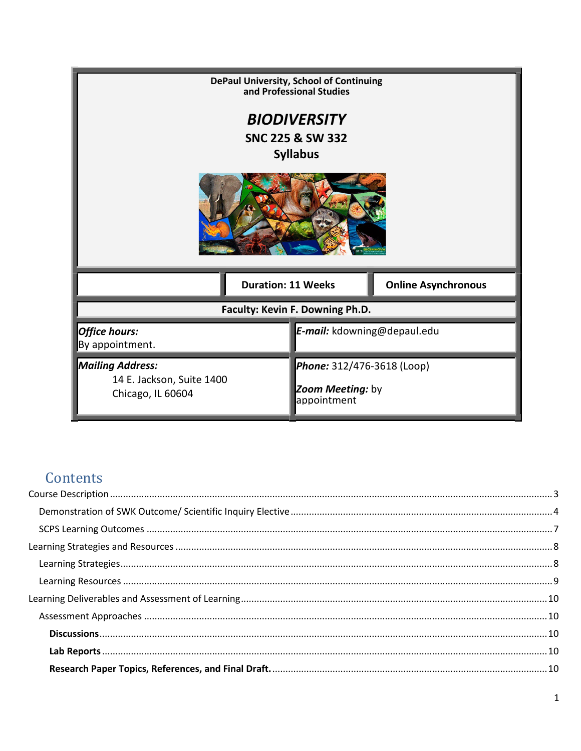|                                                                 | DePaul University, School of Continuing<br>and Professional Studies |                            |  |
|-----------------------------------------------------------------|---------------------------------------------------------------------|----------------------------|--|
|                                                                 | <b>BIODIVERSITY</b>                                                 |                            |  |
|                                                                 | <b>SNC 225 &amp; SW 332</b>                                         |                            |  |
|                                                                 | <b>Syllabus</b>                                                     |                            |  |
|                                                                 |                                                                     |                            |  |
| <b>Duration: 11 Weeks</b>                                       |                                                                     | <b>Online Asynchronous</b> |  |
|                                                                 | Faculty: Kevin F. Downing Ph.D.                                     |                            |  |
| Office hours:<br>E-mail: kdowning@depaul.edu<br>By appointment. |                                                                     |                            |  |
| <b>Mailing Address:</b>                                         | Phone: 312/476-3618 (Loop)                                          |                            |  |
| 14 E. Jackson, Suite 1400<br>Chicago, IL 60604                  | Zoom Meeting: by<br>appointment                                     |                            |  |

# Contents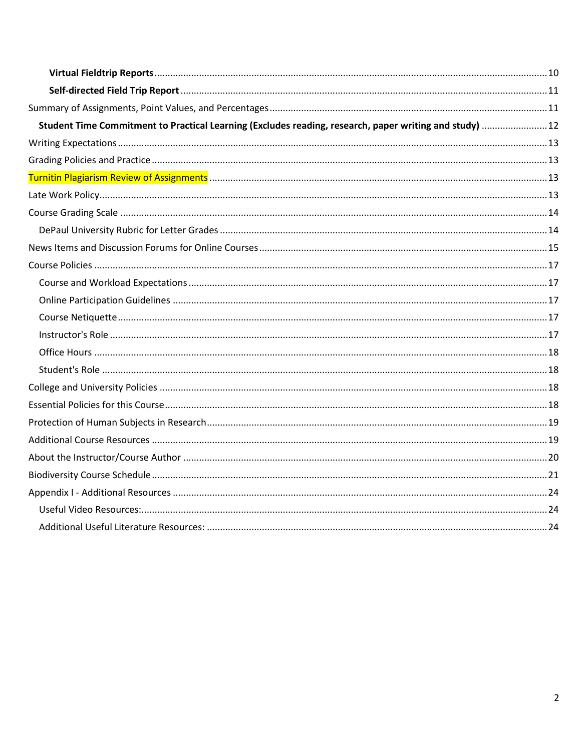| Student Time Commitment to Practical Learning (Excludes reading, research, paper writing and study)  12 |  |
|---------------------------------------------------------------------------------------------------------|--|
|                                                                                                         |  |
|                                                                                                         |  |
|                                                                                                         |  |
|                                                                                                         |  |
|                                                                                                         |  |
|                                                                                                         |  |
|                                                                                                         |  |
|                                                                                                         |  |
|                                                                                                         |  |
|                                                                                                         |  |
|                                                                                                         |  |
|                                                                                                         |  |
|                                                                                                         |  |
|                                                                                                         |  |
|                                                                                                         |  |
|                                                                                                         |  |
|                                                                                                         |  |
|                                                                                                         |  |
|                                                                                                         |  |
|                                                                                                         |  |
|                                                                                                         |  |
|                                                                                                         |  |
|                                                                                                         |  |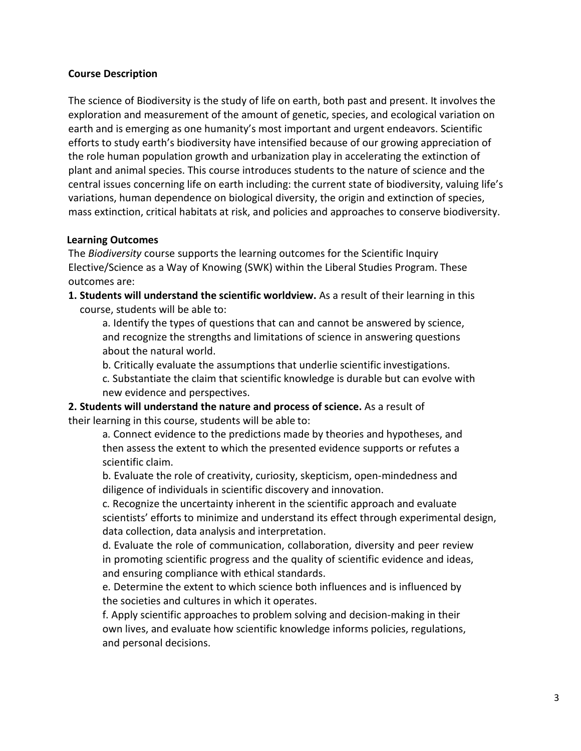### <span id="page-2-0"></span>**Course Description**

The science of Biodiversity is the study of life on earth, both past and present. It involves the exploration and measurement of the amount of genetic, species, and ecological variation on earth and is emerging as one humanity's most important and urgent endeavors. Scientific efforts to study earth's biodiversity have intensified because of our growing appreciation of the role human population growth and urbanization play in accelerating the extinction of plant and animal species. This course introduces students to the nature of science and the central issues concerning life on earth including: the current state of biodiversity, valuing life's variations, human dependence on biological diversity, the origin and extinction of species, mass extinction, critical habitats at risk, and policies and approaches to conserve biodiversity.

#### **Learning Outcomes**

The *Biodiversity* course supports the learning outcomes for the Scientific Inquiry Elective/Science as a Way of Knowing (SWK) within the Liberal Studies Program. These outcomes are:

**1. Students will understand the scientific worldview.** As a result of their learning in this course, students will be able to:

a. Identify the types of questions that can and cannot be answered by science, and recognize the strengths and limitations of science in answering questions about the natural world.

b. Critically evaluate the assumptions that underlie scientific investigations.

c. Substantiate the claim that scientific knowledge is durable but can evolve with new evidence and perspectives.

**2. Students will understand the nature and process of science.** As a result of their learning in this course, students will be able to:

a. Connect evidence to the predictions made by theories and hypotheses, and then assess the extent to which the presented evidence supports or refutes a scientific claim.

b. Evaluate the role of creativity, curiosity, skepticism, open-mindedness and diligence of individuals in scientific discovery and innovation.

c. Recognize the uncertainty inherent in the scientific approach and evaluate scientists' efforts to minimize and understand its effect through experimental design, data collection, data analysis and interpretation.

d. Evaluate the role of communication, collaboration, diversity and peer review in promoting scientific progress and the quality of scientific evidence and ideas, and ensuring compliance with ethical standards.

e. Determine the extent to which science both influences and is influenced by the societies and cultures in which it operates.

f. Apply scientific approaches to problem solving and decision-making in their own lives, and evaluate how scientific knowledge informs policies, regulations, and personal decisions.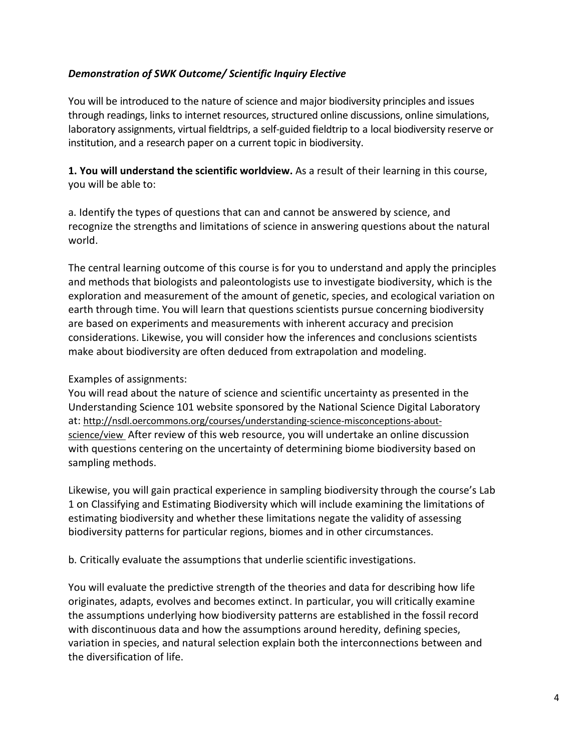# <span id="page-3-0"></span>*Demonstration of SWK Outcome/ Scientific Inquiry Elective*

You will be introduced to the nature of science and major biodiversity principles and issues through readings, links to internet resources, structured online discussions, online simulations, laboratory assignments, virtual fieldtrips, a self-guided fieldtrip to a local biodiversity reserve or institution, and a research paper on a current topic in biodiversity.

**1. You will understand the scientific worldview.** As a result of their learning in this course, you will be able to:

a. Identify the types of questions that can and cannot be answered by science, and recognize the strengths and limitations of science in answering questions about the natural world.

The central learning outcome of this course is for you to understand and apply the principles and methods that biologists and paleontologists use to investigate biodiversity, which is the exploration and measurement of the amount of genetic, species, and ecological variation on earth through time. You will learn that questions scientists pursue concerning biodiversity are based on experiments and measurements with inherent accuracy and precision considerations. Likewise, you will consider how the inferences and conclusions scientists make about biodiversity are often deduced from extrapolation and modeling.

# Examples of assignments:

You will read about the nature of science and scientific uncertainty as presented in the Understanding Science 101 website sponsored by the National Science Digital Laboratory at[: http://nsdl.oercommons.org/courses/understanding-science-misconceptions-about](http://nsdl.oercommons.org/courses/understanding-science-misconceptions-about-science/view)[science/view](http://nsdl.oercommons.org/courses/understanding-science-misconceptions-about-science/view) After review of this web resource, you will undertake an online discussion with questions centering on the uncertainty of determining biome biodiversity based on sampling methods.

Likewise, you will gain practical experience in sampling biodiversity through the course's Lab 1 on Classifying and Estimating Biodiversity which will include examining the limitations of estimating biodiversity and whether these limitations negate the validity of assessing biodiversity patterns for particular regions, biomes and in other circumstances.

b. Critically evaluate the assumptions that underlie scientific investigations.

You will evaluate the predictive strength of the theories and data for describing how life originates, adapts, evolves and becomes extinct. In particular, you will critically examine the assumptions underlying how biodiversity patterns are established in the fossil record with discontinuous data and how the assumptions around heredity, defining species, variation in species, and natural selection explain both the interconnections between and the diversification of life.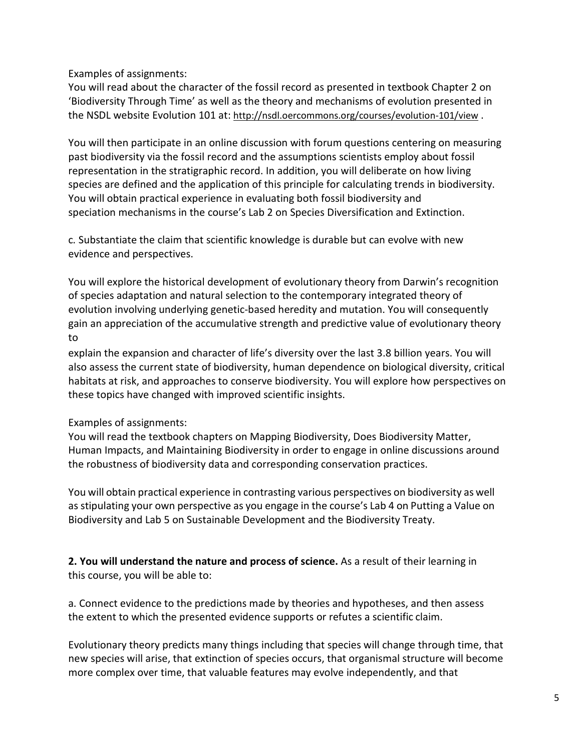Examples of assignments:

You will read about the character of the fossil record as presented in textbook Chapter 2 on 'Biodiversity Through Time' as well as the theory and mechanisms of evolution presented in the NSDL website Evolution 101 at:<http://nsdl.oercommons.org/courses/evolution-101/view>.

You will then participate in an online discussion with forum questions centering on measuring past biodiversity via the fossil record and the assumptions scientists employ about fossil representation in the stratigraphic record. In addition, you will deliberate on how living species are defined and the application of this principle for calculating trends in biodiversity. You will obtain practical experience in evaluating both fossil biodiversity and speciation mechanisms in the course's Lab 2 on Species Diversification and Extinction.

c. Substantiate the claim that scientific knowledge is durable but can evolve with new evidence and perspectives.

You will explore the historical development of evolutionary theory from Darwin's recognition of species adaptation and natural selection to the contemporary integrated theory of evolution involving underlying genetic-based heredity and mutation. You will consequently gain an appreciation of the accumulative strength and predictive value of evolutionary theory to

explain the expansion and character of life's diversity over the last 3.8 billion years. You will also assess the current state of biodiversity, human dependence on biological diversity, critical habitats at risk, and approaches to conserve biodiversity. You will explore how perspectives on these topics have changed with improved scientific insights.

Examples of assignments:

You will read the textbook chapters on Mapping Biodiversity, Does Biodiversity Matter, Human Impacts, and Maintaining Biodiversity in order to engage in online discussions around the robustness of biodiversity data and corresponding conservation practices.

You will obtain practical experience in contrasting various perspectives on biodiversity as well as stipulating your own perspective as you engage in the course's Lab 4 on Putting a Value on Biodiversity and Lab 5 on Sustainable Development and the Biodiversity Treaty.

**2. You will understand the nature and process of science.** As a result of their learning in this course, you will be able to:

a. Connect evidence to the predictions made by theories and hypotheses, and then assess the extent to which the presented evidence supports or refutes a scientific claim.

Evolutionary theory predicts many things including that species will change through time, that new species will arise, that extinction of species occurs, that organismal structure will become more complex over time, that valuable features may evolve independently, and that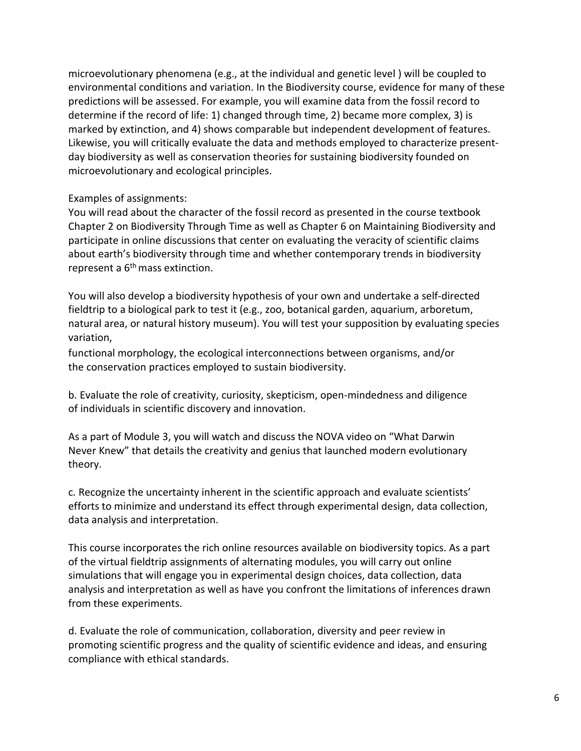microevolutionary phenomena (e.g., at the individual and genetic level ) will be coupled to environmental conditions and variation. In the Biodiversity course, evidence for many of these predictions will be assessed. For example, you will examine data from the fossil record to determine if the record of life: 1) changed through time, 2) became more complex, 3) is marked by extinction, and 4) shows comparable but independent development of features. Likewise, you will critically evaluate the data and methods employed to characterize presentday biodiversity as well as conservation theories for sustaining biodiversity founded on microevolutionary and ecological principles.

# Examples of assignments:

You will read about the character of the fossil record as presented in the course textbook Chapter 2 on Biodiversity Through Time as well as Chapter 6 on Maintaining Biodiversity and participate in online discussions that center on evaluating the veracity of scientific claims about earth's biodiversity through time and whether contemporary trends in biodiversity represent a  $6<sup>th</sup>$  mass extinction.

You will also develop a biodiversity hypothesis of your own and undertake a self-directed fieldtrip to a biological park to test it (e.g., zoo, botanical garden, aquarium, arboretum, natural area, or natural history museum). You will test your supposition by evaluating species variation,

functional morphology, the ecological interconnections between organisms, and/or the conservation practices employed to sustain biodiversity.

b. Evaluate the role of creativity, curiosity, skepticism, open-mindedness and diligence of individuals in scientific discovery and innovation.

As a part of Module 3, you will watch and discuss the NOVA video on "What Darwin Never Knew" that details the creativity and genius that launched modern evolutionary theory.

c. Recognize the uncertainty inherent in the scientific approach and evaluate scientists' efforts to minimize and understand its effect through experimental design, data collection, data analysis and interpretation.

This course incorporates the rich online resources available on biodiversity topics. As a part of the virtual fieldtrip assignments of alternating modules, you will carry out online simulations that will engage you in experimental design choices, data collection, data analysis and interpretation as well as have you confront the limitations of inferences drawn from these experiments.

d. Evaluate the role of communication, collaboration, diversity and peer review in promoting scientific progress and the quality of scientific evidence and ideas, and ensuring compliance with ethical standards.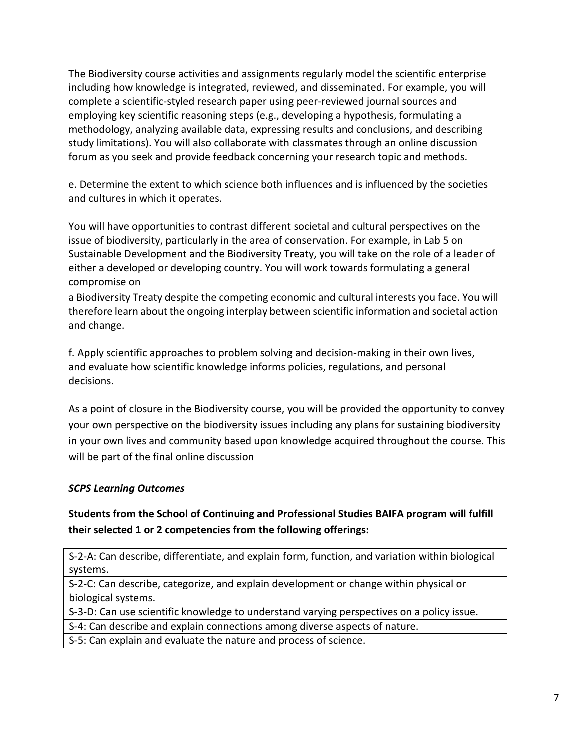The Biodiversity course activities and assignments regularly model the scientific enterprise including how knowledge is integrated, reviewed, and disseminated. For example, you will complete a scientific-styled research paper using peer-reviewed journal sources and employing key scientific reasoning steps (e.g., developing a hypothesis, formulating a methodology, analyzing available data, expressing results and conclusions, and describing study limitations). You will also collaborate with classmates through an online discussion forum as you seek and provide feedback concerning your research topic and methods.

e. Determine the extent to which science both influences and is influenced by the societies and cultures in which it operates.

You will have opportunities to contrast different societal and cultural perspectives on the issue of biodiversity, particularly in the area of conservation. For example, in Lab 5 on Sustainable Development and the Biodiversity Treaty, you will take on the role of a leader of either a developed or developing country. You will work towards formulating a general compromise on

a Biodiversity Treaty despite the competing economic and cultural interests you face. You will therefore learn about the ongoing interplay between scientific information and societal action and change.

f. Apply scientific approaches to problem solving and decision-making in their own lives, and evaluate how scientific knowledge informs policies, regulations, and personal decisions.

As a point of closure in the Biodiversity course, you will be provided the opportunity to convey your own perspective on the biodiversity issues including any plans for sustaining biodiversity in your own lives and community based upon knowledge acquired throughout the course. This will be part of the final online discussion

# <span id="page-6-0"></span>*SCPS Learning Outcomes*

# **Students from the School of Continuing and Professional Studies BAIFA program will fulfill their selected 1 or 2 competencies from the following offerings:**

S-2-A: Can describe, differentiate, and explain form, function, and variation within biological systems.

S-2-C: Can describe, categorize, and explain development or change within physical or biological systems.

S-3-D: Can use scientific knowledge to understand varying perspectives on a policy issue.

S-4: Can describe and explain connections among diverse aspects of nature.

S-5: Can explain and evaluate the nature and process of science.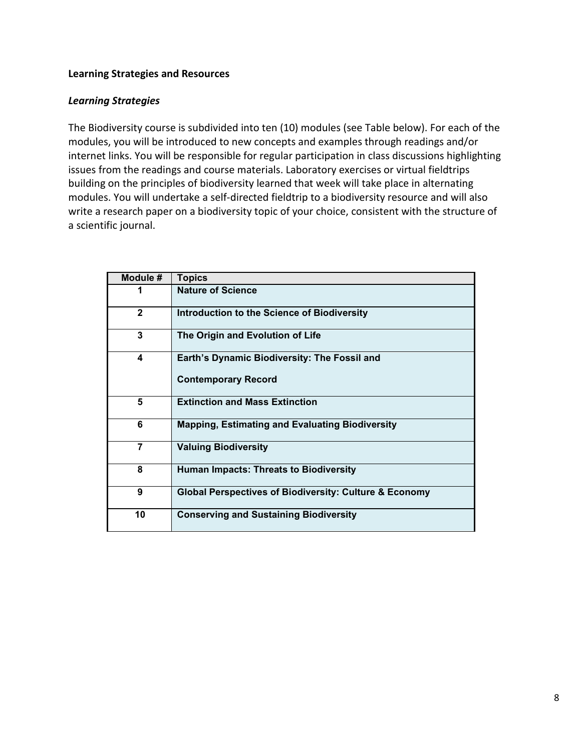### <span id="page-7-0"></span>**Learning Strategies and Resources**

#### <span id="page-7-1"></span>*Learning Strategies*

The Biodiversity course is subdivided into ten (10) modules (see Table below). For each of the modules, you will be introduced to new concepts and examples through readings and/or internet links. You will be responsible for regular participation in class discussions highlighting issues from the readings and course materials. Laboratory exercises or virtual fieldtrips building on the principles of biodiversity learned that week will take place in alternating modules. You will undertake a self-directed fieldtrip to a biodiversity resource and will also write a research paper on a biodiversity topic of your choice, consistent with the structure of a scientific journal.

| Module #       | <b>Topics</b>                                                     |
|----------------|-------------------------------------------------------------------|
| 1              | <b>Nature of Science</b>                                          |
| $\mathbf{2}$   | Introduction to the Science of Biodiversity                       |
| 3              | The Origin and Evolution of Life                                  |
| 4              | Earth's Dynamic Biodiversity: The Fossil and                      |
|                | <b>Contemporary Record</b>                                        |
| 5              | <b>Extinction and Mass Extinction</b>                             |
| 6              | <b>Mapping, Estimating and Evaluating Biodiversity</b>            |
| $\overline{7}$ | <b>Valuing Biodiversity</b>                                       |
| 8              | <b>Human Impacts: Threats to Biodiversity</b>                     |
| 9              | <b>Global Perspectives of Biodiversity: Culture &amp; Economy</b> |
| 10             | <b>Conserving and Sustaining Biodiversity</b>                     |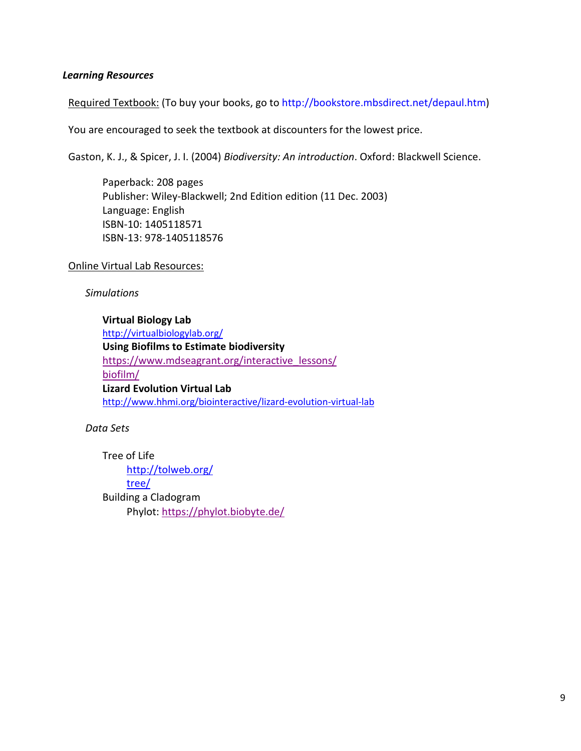#### <span id="page-8-0"></span>*Learning Resources*

Required Textbook: (To buy your books, go to [http://bookstore.mbsdirect.net/depaul.htm\)](http://bookstore.mbsdirect.net/depaul.htm)

You are encouraged to seek the textbook at discounters for the lowest price.

Gaston, K. J., & Spicer, J. I. (2004) *Biodiversity: An introduction*. Oxford: Blackwell Science.

Paperback: 208 pages Publisher: Wiley-Blackwell; 2nd Edition edition (11 Dec. 2003) Language: English ISBN-10: 1405118571 ISBN-13: 978-1405118576

Online Virtual Lab Resources:

*Simulations*

**Virtual Biology Lab** <http://virtualbiologylab.org/> **Using Biofilms to Estimate biodiversity**  [https://www.mdseagrant.org/interactive\\_lessons/](https://www.mdseagrant.org/interactive_lessons/biofilm/) [biofilm/](https://www.mdseagrant.org/interactive_lessons/biofilm/) **Lizard Evolution Virtual Lab** <http://www.hhmi.org/biointeractive/lizard-evolution-virtual-lab>

*Data Sets*

Tree of Life [http://tolweb.org/](http://tolweb.org/tree/) [tree/](http://tolweb.org/tree/) Building a Cladogram Phylot:<https://phylot.biobyte.de/>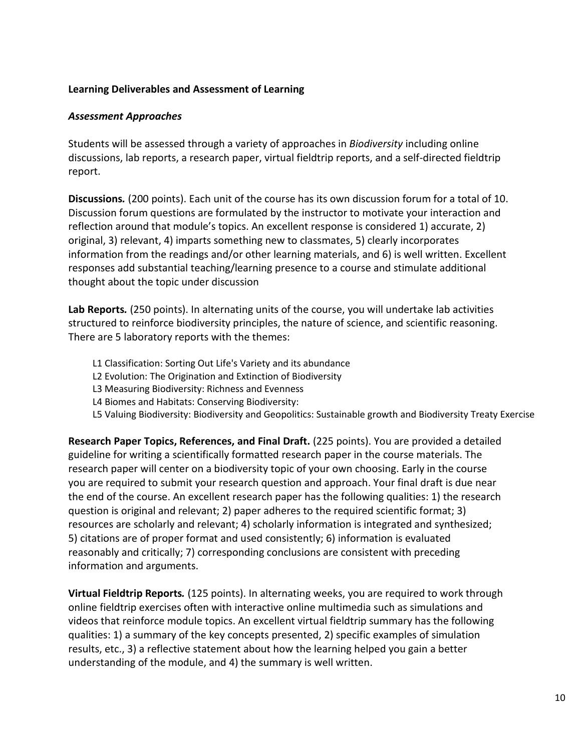# <span id="page-9-0"></span>**Learning Deliverables and Assessment of Learning**

#### <span id="page-9-1"></span>*Assessment Approaches*

Students will be assessed through a variety of approaches in *Biodiversity* including online discussions, lab reports, a research paper, virtual fieldtrip reports, and a self-directed fieldtrip report.

<span id="page-9-2"></span>**Discussions***.* (200 points). Each unit of the course has its own discussion forum for a total of 10. Discussion forum questions are formulated by the instructor to motivate your interaction and reflection around that module's topics. An excellent response is considered 1) accurate, 2) original, 3) relevant, 4) imparts something new to classmates, 5) clearly incorporates information from the readings and/or other learning materials, and 6) is well written. Excellent responses add substantial teaching/learning presence to a course and stimulate additional thought about the topic under discussion

<span id="page-9-3"></span>**Lab Reports***.* (250 points). In alternating units of the course, you will undertake lab activities structured to reinforce biodiversity principles, the nature of science, and scientific reasoning. There are 5 laboratory reports with the themes:

- L1 Classification: Sorting Out Life's Variety and its abundance
- L2 Evolution: The Origination and Extinction of Biodiversity
- L3 Measuring Biodiversity: Richness and Evenness
- L4 Biomes and Habitats: Conserving Biodiversity:
- L5 Valuing Biodiversity: Biodiversity and Geopolitics: Sustainable growth and Biodiversity Treaty Exercise

<span id="page-9-4"></span>**Research Paper Topics, References, and Final Draft.** (225 points). You are provided a detailed guideline for writing a scientifically formatted research paper in the course materials. The research paper will center on a biodiversity topic of your own choosing. Early in the course you are required to submit your research question and approach. Your final draft is due near the end of the course. An excellent research paper has the following qualities: 1) the research question is original and relevant; 2) paper adheres to the required scientific format; 3) resources are scholarly and relevant; 4) scholarly information is integrated and synthesized; 5) citations are of proper format and used consistently; 6) information is evaluated reasonably and critically; 7) corresponding conclusions are consistent with preceding information and arguments.

<span id="page-9-5"></span>**Virtual Fieldtrip Reports***.* (125 points). In alternating weeks, you are required to work through online fieldtrip exercises often with interactive online multimedia such as simulations and videos that reinforce module topics. An excellent virtual fieldtrip summary has the following qualities: 1) a summary of the key concepts presented, 2) specific examples of simulation results, etc., 3) a reflective statement about how the learning helped you gain a better understanding of the module, and 4) the summary is well written.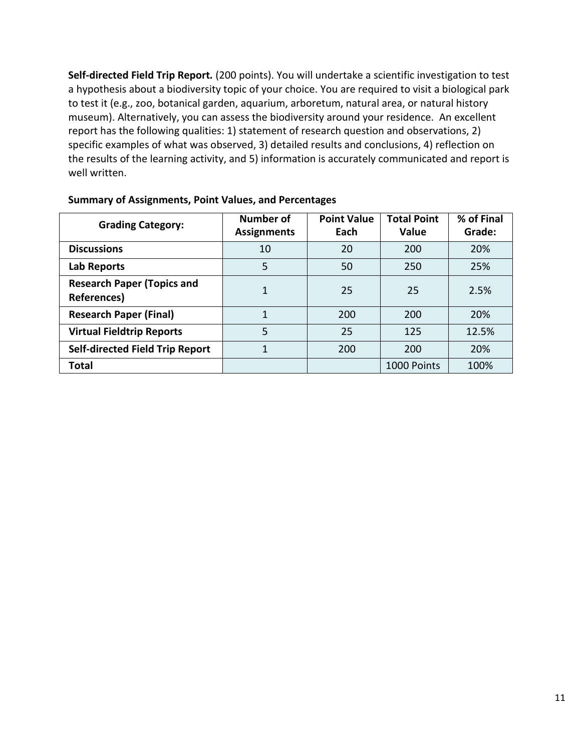<span id="page-10-0"></span>**Self-directed Field Trip Report***.* (200 points). You will undertake a scientific investigation to test a hypothesis about a biodiversity topic of your choice. You are required to visit a biological park to test it (e.g., zoo, botanical garden, aquarium, arboretum, natural area, or natural history museum). Alternatively, you can assess the biodiversity around your residence. An excellent report has the following qualities: 1) statement of research question and observations, 2) specific examples of what was observed, 3) detailed results and conclusions, 4) reflection on the results of the learning activity, and 5) information is accurately communicated and report is well written.

<span id="page-10-1"></span>

| <b>Grading Category:</b>                         | Number of<br><b>Assignments</b> | <b>Point Value</b><br>Each | <b>Total Point</b><br>Value | % of Final<br>Grade: |
|--------------------------------------------------|---------------------------------|----------------------------|-----------------------------|----------------------|
| <b>Discussions</b>                               | 10                              | 20                         | 200                         | 20%                  |
| Lab Reports                                      | 5                               | 50                         | 250                         | 25%                  |
| <b>Research Paper (Topics and</b><br>References) |                                 | 25                         | 25                          | 2.5%                 |
| <b>Research Paper (Final)</b>                    | 1                               | 200                        | 200                         | 20%                  |
| <b>Virtual Fieldtrip Reports</b>                 | 5                               | 25                         | 125                         | 12.5%                |
| <b>Self-directed Field Trip Report</b>           | 1                               | 200                        | 200                         | 20%                  |
| <b>Total</b>                                     |                                 |                            | 1000 Points                 | 100%                 |

#### **Summary of Assignments, Point Values, and Percentages**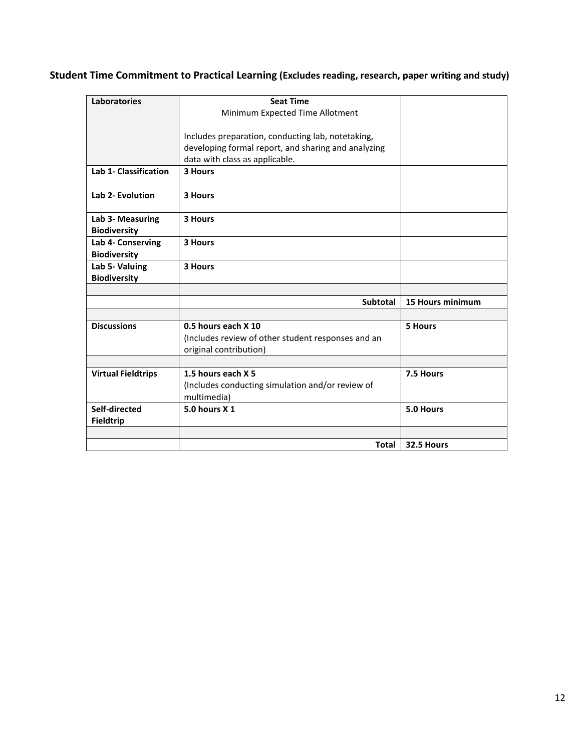# <span id="page-11-0"></span>**Student Time Commitment to Practical Learning (Excludes reading, research, paper writing and study)**

| <b>Laboratories</b>                     | <b>Seat Time</b>                                    |                  |
|-----------------------------------------|-----------------------------------------------------|------------------|
|                                         | Minimum Expected Time Allotment                     |                  |
|                                         |                                                     |                  |
|                                         | Includes preparation, conducting lab, notetaking,   |                  |
|                                         | developing formal report, and sharing and analyzing |                  |
|                                         | data with class as applicable.                      |                  |
| <b>Lab 1- Classification</b>            | 3 Hours                                             |                  |
| Lab 2- Evolution                        | 3 Hours                                             |                  |
| Lab 3- Measuring<br><b>Biodiversity</b> | 3 Hours                                             |                  |
| Lab 4- Conserving                       | 3 Hours                                             |                  |
| <b>Biodiversity</b>                     |                                                     |                  |
| Lab 5- Valuing                          | 3 Hours                                             |                  |
| <b>Biodiversity</b>                     |                                                     |                  |
|                                         |                                                     |                  |
|                                         | Subtotal                                            | 15 Hours minimum |
|                                         |                                                     |                  |
| <b>Discussions</b>                      | 0.5 hours each X 10                                 | <b>5 Hours</b>   |
|                                         | (Includes review of other student responses and an  |                  |
|                                         | original contribution)                              |                  |
|                                         |                                                     |                  |
| <b>Virtual Fieldtrips</b>               | 1.5 hours each X 5                                  | 7.5 Hours        |
|                                         | (Includes conducting simulation and/or review of    |                  |
|                                         | multimedia)                                         |                  |
| Self-directed                           | 5.0 hours X 1                                       | 5.0 Hours        |
| <b>Fieldtrip</b>                        |                                                     |                  |
|                                         |                                                     |                  |
|                                         | <b>Total</b>                                        | 32.5 Hours       |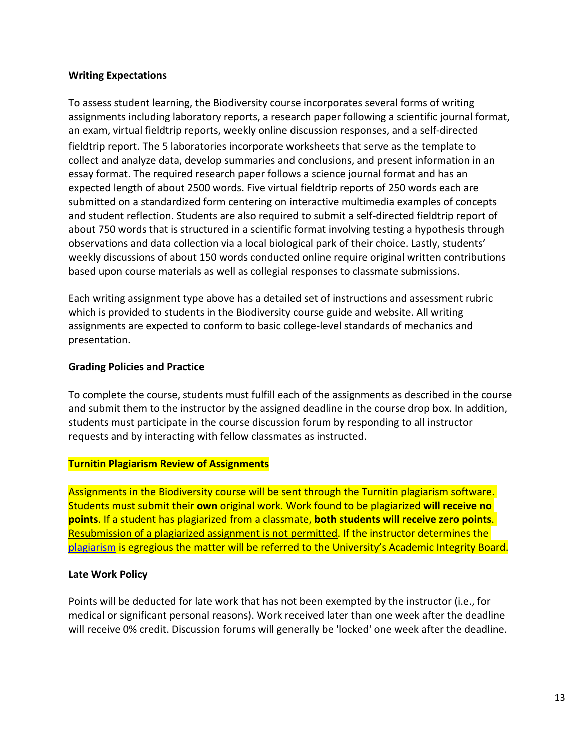#### <span id="page-12-0"></span>**Writing Expectations**

To assess student learning, the Biodiversity course incorporates several forms of writing assignments including laboratory reports, a research paper following a scientific journal format, an exam, virtual fieldtrip reports, weekly online discussion responses, and a self-directed fieldtrip report. The 5 laboratories incorporate worksheets that serve as the template to collect and analyze data, develop summaries and conclusions, and present information in an essay format. The required research paper follows a science journal format and has an expected length of about 2500 words. Five virtual fieldtrip reports of 250 words each are submitted on a standardized form centering on interactive multimedia examples of concepts and student reflection. Students are also required to submit a self-directed fieldtrip report of about 750 words that is structured in a scientific format involving testing a hypothesis through observations and data collection via a local biological park of their choice. Lastly, students' weekly discussions of about 150 words conducted online require original written contributions based upon course materials as well as collegial responses to classmate submissions.

Each writing assignment type above has a detailed set of instructions and assessment rubric which is provided to students in the Biodiversity course guide and website. All writing assignments are expected to conform to basic college-level standards of mechanics and presentation.

### <span id="page-12-1"></span>**Grading Policies and Practice**

To complete the course, students must fulfill each of the assignments as described in the course and submit them to the instructor by the assigned deadline in the course drop box. In addition, students must participate in the course discussion forum by responding to all instructor requests and by interacting with fellow classmates as instructed.

#### <span id="page-12-2"></span>**Turnitin Plagiarism Review of Assignments**

Assignments in the Biodiversity course will be sent through the Turnitin plagiarism software. Students must submit their **own** original work. Work found to be plagiarized **will receive no points**. If a student has plagiarized from a classmate, **both students will receive zero points**. Resubmission of a plagiarized assignment is not permitted. If the instructor determines the [plagiarism](https://offices.depaul.edu/academic-affairs/faculty-resources/academic-integrity/Pages/definitions.aspx) is egregious the matter will be referred to the University's Academic Integrity Board.

# <span id="page-12-3"></span>**Late Work Policy**

Points will be deducted for late work that has not been exempted by the instructor (i.e., for medical or significant personal reasons). Work received later than one week after the deadline will receive 0% credit. Discussion forums will generally be 'locked' one week after the deadline.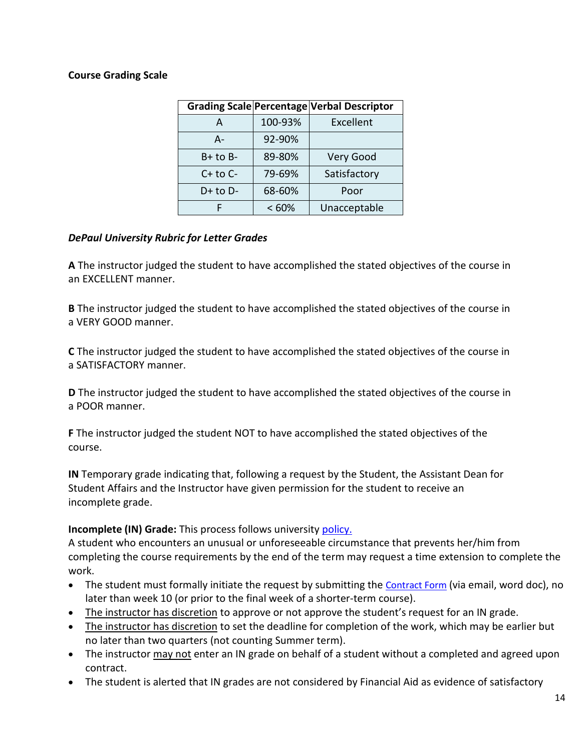### <span id="page-13-0"></span>**Course Grading Scale**

|              |         | Grading Scale Percentage Verbal Descriptor |
|--------------|---------|--------------------------------------------|
| А            | 100-93% | Excellent                                  |
| A-           | 92-90%  |                                            |
| $B+$ to $B-$ | 89-80%  | Very Good                                  |
| $C+$ to $C-$ | 79-69%  | Satisfactory                               |
| $D+$ to $D-$ | 68-60%  | Poor                                       |
|              | <60%    | Unacceptable                               |

#### <span id="page-13-1"></span>*DePaul University Rubric for Letter Grades*

**A** The instructor judged the student to have accomplished the stated objectives of the course in an EXCELLENT manner.

**B** The instructor judged the student to have accomplished the stated objectives of the course in a VERY GOOD manner.

**C** The instructor judged the student to have accomplished the stated objectives of the course in a SATISFACTORY manner.

**D** The instructor judged the student to have accomplished the stated objectives of the course in a POOR manner.

**F** The instructor judged the student NOT to have accomplished the stated objectives of the course.

**IN** Temporary grade indicating that, following a request by the Student, the Assistant Dean for Student Affairs and the Instructor have given permission for the student to receive an incomplete grade.

#### **Incomplete (IN) Grade:** This process follows university [policy.](https://courses.depaul.edu/university-catalog/academic-handbooks/undergraduate/undergraduate-academic-policies/Pages/default.aspx)

A student who encounters an unusual or unforeseeable circumstance that prevents her/him from completing the course requirements by the end of the term may request a time extension to complete the work.

- The student must formally initiate the request by submitting the [Contract Form](https://scps.depaul.edu/Documents/incomplete_contract.docx) (via email, word doc), no later than week 10 (or prior to the final week of a shorter-term course).
- The instructor has discretion to approve or not approve the student's request for an IN grade.
- The instructor has discretion to set the deadline for completion of the work, which may be earlier but no later than two quarters (not counting Summer term).
- The instructor may not enter an IN grade on behalf of a student without a completed and agreed upon contract.
- The student is alerted that IN grades are not considered by Financial Aid as evidence of satisfactory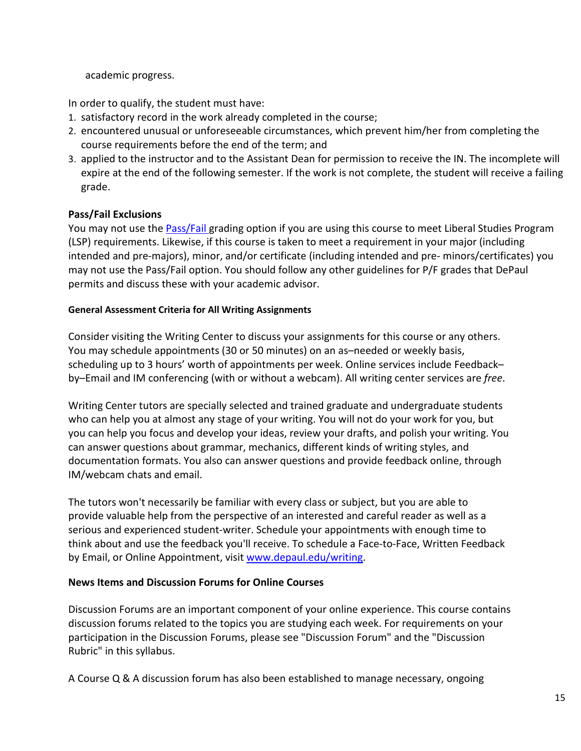academic progress.

In order to qualify, the student must have:

- 1. satisfactory record in the work already completed in the course;
- 2. encountered unusual or unforeseeable circumstances, which prevent him/her from completing the course requirements before the end of the term; and
- 3. applied to the instructor and to the Assistant Dean for permission to receive the IN. The incomplete will expire at the end of the following semester. If the work is not complete, the student will receive a failing grade.

# **Pass/Fail Exclusions**

You may not use the **Pass/Fail grading option if you are using this course to meet Liberal Studies Program** (LSP) requirements. Likewise, if this course is taken to meet a requirement in your major (including intended and pre-majors), minor, and/or certificate (including intended and pre- minors/certificates) you may not use the Pass/Fail option. You should follow any other guidelines for P/F grades that DePaul permits and discuss these with your academic advisor.

#### **General Assessment Criteria for All Writing Assignments**

Consider visiting the Writing Center to discuss your assignments for this course or any others. You may schedule appointments (30 or 50 minutes) on an as–needed or weekly basis, scheduling up to 3 hours' worth of appointments per week. Online services include Feedback– by–Email and IM conferencing (with or without a webcam). All writing center services are *free*.

Writing Center tutors are specially selected and trained graduate and undergraduate students who can help you at almost any stage of your writing. You will not do your work for you, but you can help you focus and develop your ideas, review your drafts, and polish your writing. You can answer questions about grammar, mechanics, different kinds of writing styles, and documentation formats. You also can answer questions and provide feedback online, through IM/webcam chats and email.

The tutors won't necessarily be familiar with every class or subject, but you are able to provide valuable help from the perspective of an interested and careful reader as well as a serious and experienced student-writer. Schedule your appointments with enough time to think about and use the feedback you'll receive. To schedule a Face-to-Face, Written Feedback by Email, or Online Appointment, visi[t www.depaul.edu/writing.](http://www.depaul.edu/writing)

#### <span id="page-14-0"></span>**News Items and Discussion Forums for Online Courses**

Discussion Forums are an important component of your online experience. This course contains discussion forums related to the topics you are studying each week. For requirements on your participation in the Discussion Forums, please see "Discussion Forum" and the "Discussion Rubric" in this syllabus.

A Course Q & A discussion forum has also been established to manage necessary, ongoing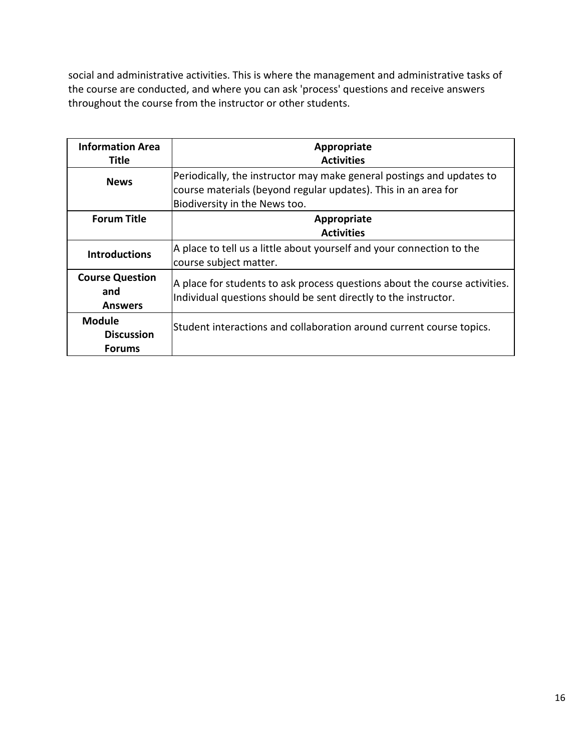social and administrative activities. This is where the management and administrative tasks of the course are conducted, and where you can ask 'process' questions and receive answers throughout the course from the instructor or other students.

| <b>Information Area</b><br>Title                    | Appropriate<br><b>Activities</b>                                                                                                                                         |
|-----------------------------------------------------|--------------------------------------------------------------------------------------------------------------------------------------------------------------------------|
| <b>News</b>                                         | Periodically, the instructor may make general postings and updates to<br>course materials (beyond regular updates). This in an area for<br>Biodiversity in the News too. |
| <b>Forum Title</b>                                  | Appropriate<br><b>Activities</b>                                                                                                                                         |
| <b>Introductions</b>                                | A place to tell us a little about yourself and your connection to the<br>course subject matter.                                                                          |
| <b>Course Question</b><br>and<br><b>Answers</b>     | A place for students to ask process questions about the course activities.<br>Individual questions should be sent directly to the instructor.                            |
| <b>Module</b><br><b>Discussion</b><br><b>Forums</b> | Student interactions and collaboration around current course topics.                                                                                                     |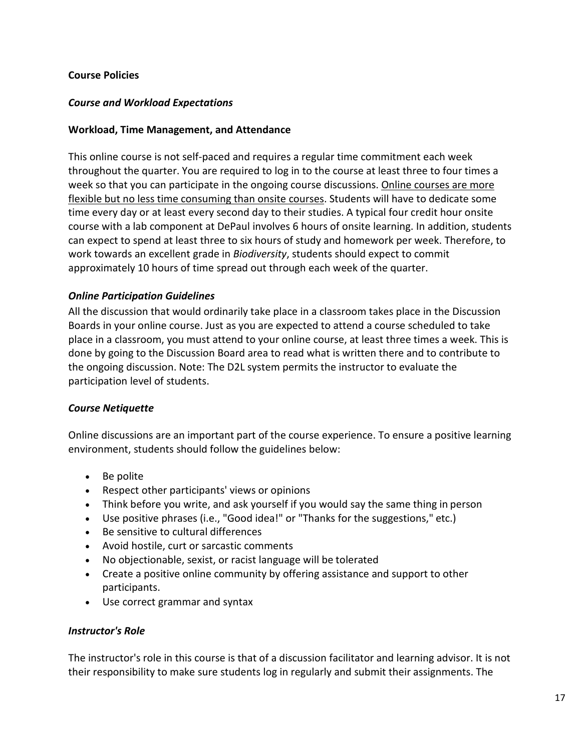### <span id="page-16-0"></span>**Course Policies**

#### <span id="page-16-1"></span>*Course and Workload Expectations*

#### **Workload, Time Management, and Attendance**

This online course is not self-paced and requires a regular time commitment each week throughout the quarter. You are required to log in to the course at least three to four times a week so that you can participate in the ongoing course discussions. Online courses are more flexible but no less time consuming than onsite courses. Students will have to dedicate some time every day or at least every second day to their studies. A typical four credit hour onsite course with a lab component at DePaul involves 6 hours of onsite learning. In addition, students can expect to spend at least three to six hours of study and homework per week. Therefore, to work towards an excellent grade in *Biodiversity*, students should expect to commit approximately 10 hours of time spread out through each week of the quarter.

#### <span id="page-16-2"></span>*Online Participation Guidelines*

All the discussion that would ordinarily take place in a classroom takes place in the Discussion Boards in your online course. Just as you are expected to attend a course scheduled to take place in a classroom, you must attend to your online course, at least three times a week. This is done by going to the Discussion Board area to read what is written there and to contribute to the ongoing discussion. Note: The D2L system permits the instructor to evaluate the participation level of students.

#### <span id="page-16-3"></span>*Course Netiquette*

Online discussions are an important part of the course experience. To ensure a positive learning environment, students should follow the guidelines below:

- Be polite
- Respect other participants' views or opinions
- Think before you write, and ask yourself if you would say the same thing in person
- Use positive phrases (i.e., "Good idea!" or "Thanks for the suggestions," etc.)
- Be sensitive to cultural differences
- Avoid hostile, curt or sarcastic comments
- No objectionable, sexist, or racist language will be tolerated
- Create a positive online community by offering assistance and support to other participants.
- Use correct grammar and syntax

#### <span id="page-16-4"></span>*Instructor's Role*

The instructor's role in this course is that of a discussion facilitator and learning advisor. It is not their responsibility to make sure students log in regularly and submit their assignments. The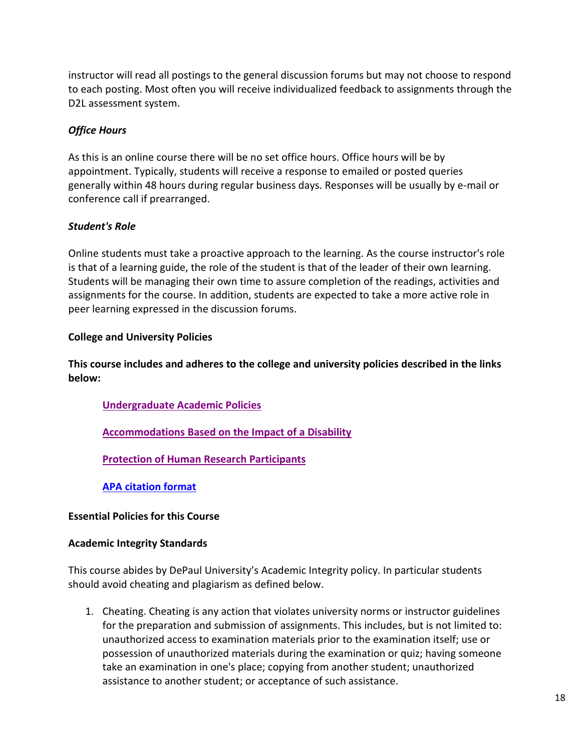instructor will read all postings to the general discussion forums but may not choose to respond to each posting. Most often you will receive individualized feedback to assignments through the D2L assessment system.

# <span id="page-17-0"></span>*Office Hours*

As this is an online course there will be no set office hours. Office hours will be by appointment. Typically, students will receive a response to emailed or posted queries generally within 48 hours during regular business days. Responses will be usually by e-mail or conference call if prearranged.

# <span id="page-17-1"></span>*Student's Role*

Online students must take a proactive approach to the learning. As the course instructor's role is that of a learning guide, the role of the student is that of the leader of their own learning. Students will be managing their own time to assure completion of the readings, activities and assignments for the course. In addition, students are expected to take a more active role in peer learning expressed in the discussion forums.

# <span id="page-17-2"></span>**College and University Policies**

**This course includes and adheres to the college and university policies described in the links below:**

# **[Undergraduate Academic Policies](https://catalog.depaul.edu/student-handbooks/undergraduate/undergraduate-academic-policies/)**

**[Accommodations Based on the Impact of a Disability](https://offices.depaul.edu/student-affairs/support-services/for-specific-populations/Pages/students-with-disabilities.aspx)**

**[Protection of Human Research Participants](https://offices.depaul.edu/research-services/research-protections/irb/policies-procedures/Pages/default.aspx)**

**[APA citation format](https://owl.english.purdue.edu/owl/resource/560/01/)**

# <span id="page-17-3"></span>**Essential Policies for this Course**

# **Academic Integrity Standards**

This course abides by DePaul University's Academic Integrity policy. In particular students should avoid cheating and plagiarism as defined below.

1. Cheating. Cheating is any action that violates university norms or instructor guidelines for the preparation and submission of assignments. This includes, but is not limited to: unauthorized access to examination materials prior to the examination itself; use or possession of unauthorized materials during the examination or quiz; having someone take an examination in one's place; copying from another student; unauthorized assistance to another student; or acceptance of such assistance.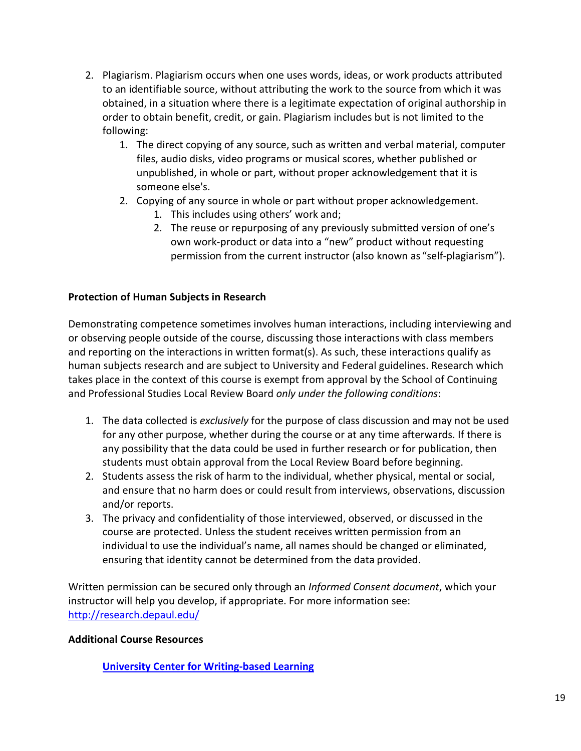- 2. Plagiarism. Plagiarism occurs when one uses words, ideas, or work products attributed to an identifiable source, without attributing the work to the source from which it was obtained, in a situation where there is a legitimate expectation of original authorship in order to obtain benefit, credit, or gain. Plagiarism includes but is not limited to the following:
	- 1. The direct copying of any source, such as written and verbal material, computer files, audio disks, video programs or musical scores, whether published or unpublished, in whole or part, without proper acknowledgement that it is someone else's.
	- 2. Copying of any source in whole or part without proper acknowledgement.
		- 1. This includes using others' work and;
		- 2. The reuse or repurposing of any previously submitted version of one's own work-product or data into a "new" product without requesting permission from the current instructor (also known as "self-plagiarism").

# <span id="page-18-0"></span>**Protection of Human Subjects in Research**

Demonstrating competence sometimes involves human interactions, including interviewing and or observing people outside of the course, discussing those interactions with class members and reporting on the interactions in written format(s). As such, these interactions qualify as human subjects research and are subject to University and Federal guidelines. Research which takes place in the context of this course is exempt from approval by the School of Continuing and Professional Studies Local Review Board *only under the following conditions*:

- 1. The data collected is *exclusively* for the purpose of class discussion and may not be used for any other purpose, whether during the course or at any time afterwards. If there is any possibility that the data could be used in further research or for publication, then students must obtain approval from the Local Review Board before beginning.
- 2. Students assess the risk of harm to the individual, whether physical, mental or social, and ensure that no harm does or could result from interviews, observations, discussion and/or reports.
- 3. The privacy and confidentiality of those interviewed, observed, or discussed in the course are protected. Unless the student receives written permission from an individual to use the individual's name, all names should be changed or eliminated, ensuring that identity cannot be determined from the data provided.

Written permission can be secured only through an *Informed Consent document*, which your instructor will help you develop, if appropriate. For more information see: <http://research.depaul.edu/>

# <span id="page-18-1"></span>**Additional Course Resources**

**[University Center for Writing-based Learning](http://condor.depaul.edu/writing/)**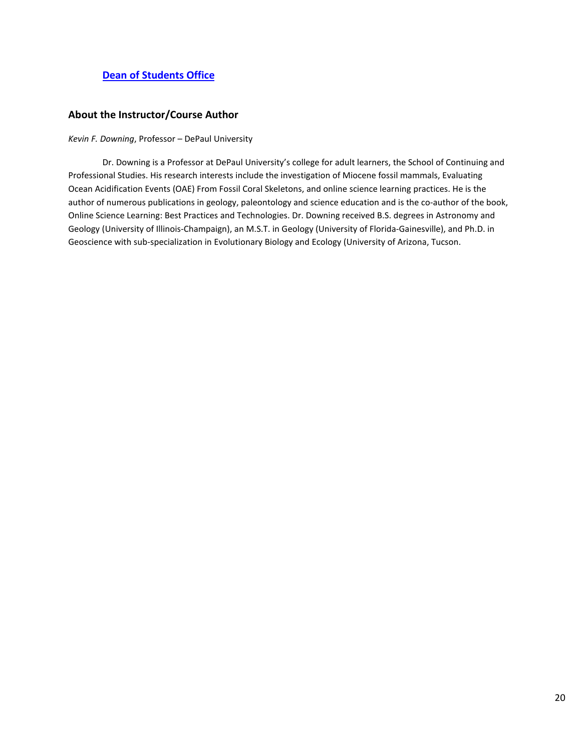## **[Dean of Students Office](http://www.depaul.edu/university-catalog/academic-handbooks/undergraduate/university-resources/Pages/dean-of-students-office.aspx)**

#### <span id="page-19-0"></span>**About the Instructor/Course Author**

*Kevin F. Downing*, Professor – DePaul University

Dr. Downing is a Professor at DePaul University's college for adult learners, the School of Continuing and Professional Studies. His research interests include the investigation of Miocene fossil mammals, Evaluating Ocean Acidification Events (OAE) From Fossil Coral Skeletons, and online science learning practices. He is the author of numerous publications in geology, paleontology and science education and is the co-author of the book, Online Science Learning: Best Practices and Technologies. Dr. Downing received B.S. degrees in Astronomy and Geology (University of Illinois-Champaign), an M.S.T. in Geology (University of Florida-Gainesville), and Ph.D. in Geoscience with sub-specialization in Evolutionary Biology and Ecology (University of Arizona, Tucson.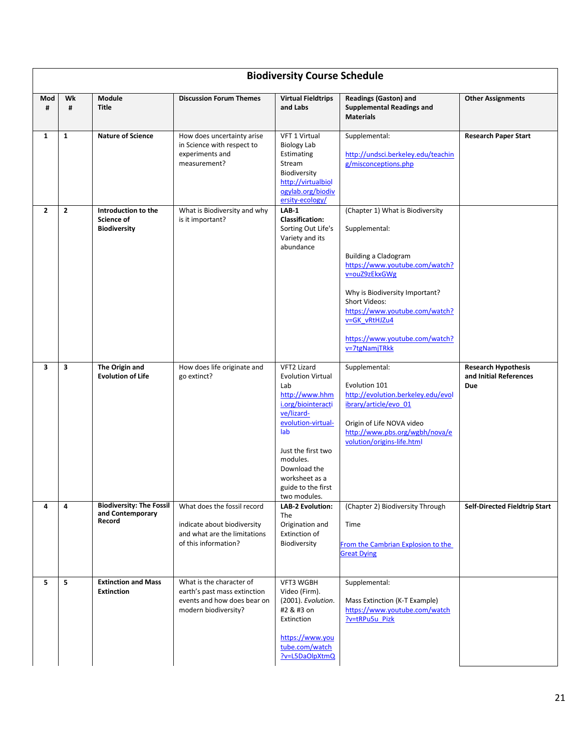<span id="page-20-0"></span>

|              | <b>Biodiversity Course Schedule</b> |                                                                 |                                                                                                                    |                                                                                                                                                                                                                                             |                                                                                                                                                                                                                                                                                                     |                                                                    |  |
|--------------|-------------------------------------|-----------------------------------------------------------------|--------------------------------------------------------------------------------------------------------------------|---------------------------------------------------------------------------------------------------------------------------------------------------------------------------------------------------------------------------------------------|-----------------------------------------------------------------------------------------------------------------------------------------------------------------------------------------------------------------------------------------------------------------------------------------------------|--------------------------------------------------------------------|--|
| Mod<br>#     | Wk<br>#                             | <b>Module</b><br><b>Title</b>                                   | <b>Discussion Forum Themes</b>                                                                                     | <b>Virtual Fieldtrips</b><br>and Labs                                                                                                                                                                                                       | <b>Readings (Gaston) and</b><br><b>Supplemental Readings and</b><br><b>Materials</b>                                                                                                                                                                                                                | <b>Other Assignments</b>                                           |  |
| $\mathbf{1}$ | $\mathbf{1}$                        | <b>Nature of Science</b>                                        | How does uncertainty arise<br>in Science with respect to<br>experiments and<br>measurement?                        | VFT 1 Virtual<br><b>Biology Lab</b><br>Estimating<br>Stream<br>Biodiversity<br>http://virtualbiol<br>ogylab.org/biodiv<br>ersity-ecology/                                                                                                   | Supplemental:<br>http://undsci.berkeley.edu/teachin<br>g/misconceptions.php                                                                                                                                                                                                                         | <b>Research Paper Start</b>                                        |  |
| $\mathbf{2}$ | $\overline{2}$                      | Introduction to the<br><b>Science of</b><br><b>Biodiversity</b> | What is Biodiversity and why<br>is it important?                                                                   | $LAB-1$<br><b>Classification:</b><br>Sorting Out Life's<br>Variety and its<br>abundance                                                                                                                                                     | (Chapter 1) What is Biodiversity<br>Supplemental:<br><b>Building a Cladogram</b><br>https://www.youtube.com/watch?<br>v=ouZ9zEkxGWg<br>Why is Biodiversity Important?<br><b>Short Videos:</b><br>https://www.youtube.com/watch?<br>v=GK vRtHJZu4<br>https://www.youtube.com/watch?<br>v=7tgNamjTRkk |                                                                    |  |
| 3            | 3                                   | The Origin and<br><b>Evolution of Life</b>                      | How does life originate and<br>go extinct?                                                                         | VFT2 Lizard<br><b>Evolution Virtual</b><br>Lab<br>http://www.hhm<br>i.org/biointeracti<br>ve/lizard-<br>evolution-virtual-<br>lab<br>Just the first two<br>modules.<br>Download the<br>worksheet as a<br>guide to the first<br>two modules. | Supplemental:<br>Evolution 101<br>http://evolution.berkeley.edu/evol<br>ibrary/article/evo_01<br>Origin of Life NOVA video<br>http://www.pbs.org/wgbh/nova/e<br>volution/origins-life.html                                                                                                          | <b>Research Hypothesis</b><br>and Initial References<br><b>Due</b> |  |
| 4            | 4                                   | <b>Biodiversity: The Fossil</b><br>and Contemporary<br>Record   | What does the fossil record<br>indicate about biodiversity<br>and what are the limitations<br>of this information? | <b>LAB-2 Evolution:</b><br>The<br>Origination and<br>Extinction of<br>Biodiversity                                                                                                                                                          | (Chapter 2) Biodiversity Through<br>Time<br>From the Cambrian Explosion to the<br><b>Great Dying</b>                                                                                                                                                                                                | <b>Self-Directed Fieldtrip Start</b>                               |  |
| 5            | 5                                   | <b>Extinction and Mass</b><br><b>Extinction</b>                 | What is the character of<br>earth's past mass extinction<br>events and how does bear on<br>modern biodiversity?    | VFT3 WGBH<br>Video (Firm).<br>(2001). Evolution.<br>#2 & #3 on<br>Extinction<br>https://www.you<br>tube.com/watch<br>?v=L5DaOlpXtmQ                                                                                                         | Supplemental:<br>Mass Extinction (K-T Example)<br>https://www.youtube.com/watch<br>?v=tRPu5u Pizk                                                                                                                                                                                                   |                                                                    |  |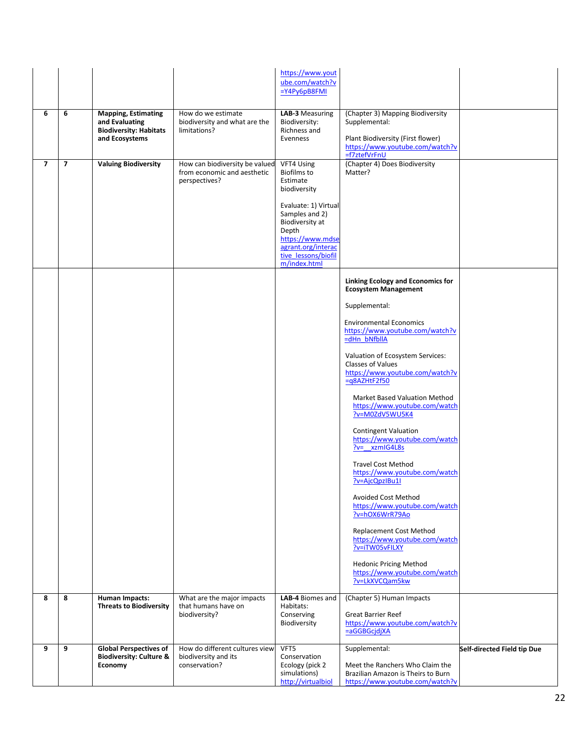|                |                |                                                                                                 |                                                                                | https://www.yout<br>ube.com/watch?v<br>$=Y4Py6pBBFMI$                                                                                                                                                               |                                                                                                                                                                                                                                                                                                                                                                                                                                                                                                                                                                                                                                                                                                                                                                                                               |                             |
|----------------|----------------|-------------------------------------------------------------------------------------------------|--------------------------------------------------------------------------------|---------------------------------------------------------------------------------------------------------------------------------------------------------------------------------------------------------------------|---------------------------------------------------------------------------------------------------------------------------------------------------------------------------------------------------------------------------------------------------------------------------------------------------------------------------------------------------------------------------------------------------------------------------------------------------------------------------------------------------------------------------------------------------------------------------------------------------------------------------------------------------------------------------------------------------------------------------------------------------------------------------------------------------------------|-----------------------------|
| 6              | 6              | <b>Mapping, Estimating</b><br>and Evaluating<br><b>Biodiversity: Habitats</b><br>and Ecosystems | How do we estimate<br>biodiversity and what are the<br>limitations?            | LAB-3 Measuring<br>Biodiversity:<br>Richness and<br>Evenness                                                                                                                                                        | (Chapter 3) Mapping Biodiversity<br>Supplemental:<br>Plant Biodiversity (First flower)<br>https://www.youtube.com/watch?v<br>=f7ztefVrFnU                                                                                                                                                                                                                                                                                                                                                                                                                                                                                                                                                                                                                                                                     |                             |
| $\overline{ }$ | $\overline{7}$ | <b>Valuing Biodiversity</b>                                                                     | How can biodiversity be valued<br>from economic and aesthetic<br>perspectives? | VFT4 Using<br><b>Biofilms</b> to<br>Estimate<br>biodiversity<br>Evaluate: 1) Virtual<br>Samples and 2)<br>Biodiversity at<br>Depth<br>https://www.mdse<br>agrant.org/interac<br>tive_lessons/biofil<br>m/index.html | (Chapter 4) Does Biodiversity<br>Matter?                                                                                                                                                                                                                                                                                                                                                                                                                                                                                                                                                                                                                                                                                                                                                                      |                             |
|                |                |                                                                                                 |                                                                                |                                                                                                                                                                                                                     | <b>Linking Ecology and Economics for</b><br><b>Ecosystem Management</b><br>Supplemental:<br><b>Environmental Economics</b><br>https://www.youtube.com/watch?v<br>=dHn bNfbllA<br>Valuation of Ecosystem Services:<br><b>Classes of Values</b><br>https://www.youtube.com/watch?v<br>$= q8AZHtF2f50$<br>Market Based Valuation Method<br>https://www.youtube.com/watch<br>?v=M0ZdV5WU5K4<br><b>Contingent Valuation</b><br>https://www.youtube.com/watch<br>$?v= xzmlG4L8s$<br><b>Travel Cost Method</b><br>https://www.youtube.com/watch<br>?v=AjcQpzIBu1I<br>Avoided Cost Method<br>https://www.youtube.com/watch<br>?v=hOX6WrR79Ao<br><b>Replacement Cost Method</b><br>https://www.youtube.com/watch<br>?v=iTW05vFILXY<br><b>Hedonic Pricing Method</b><br>https://www.youtube.com/watch<br>?v=LkXVCQam5kw |                             |
| 8              | 8              | <b>Human Impacts:</b><br><b>Threats to Biodiversity</b>                                         | What are the major impacts<br>that humans have on<br>biodiversity?             | LAB-4 Biomes and<br>Habitats:<br>Conserving<br>Biodiversity                                                                                                                                                         | (Chapter 5) Human Impacts<br><b>Great Barrier Reef</b><br>https://www.youtube.com/watch?v<br>=aGGBGcjdjXA                                                                                                                                                                                                                                                                                                                                                                                                                                                                                                                                                                                                                                                                                                     |                             |
| 9              | 9              | <b>Global Perspectives of</b><br><b>Biodiversity: Culture &amp;</b><br>Economy                  | How do different cultures view<br>biodiversity and its<br>conservation?        | VFT5<br>Conservation<br>Ecology (pick 2<br>simulations)<br>http://virtualbiol                                                                                                                                       | Supplemental:<br>Meet the Ranchers Who Claim the<br>Brazilian Amazon is Theirs to Burn<br>https://www.youtube.com/watch?v                                                                                                                                                                                                                                                                                                                                                                                                                                                                                                                                                                                                                                                                                     | Self-directed Field tip Due |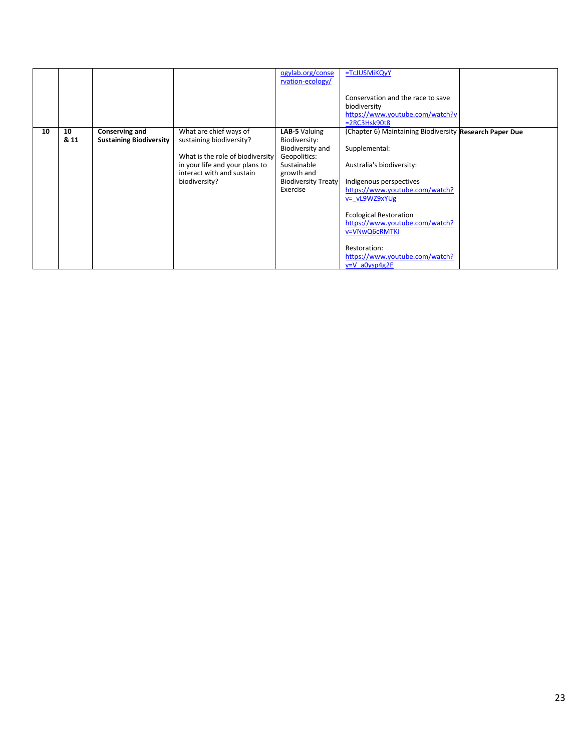|    |      |                                |                                  | ogylab.org/conse<br>rvation-ecology/ | =TcJUSMiKQyY                                            |  |
|----|------|--------------------------------|----------------------------------|--------------------------------------|---------------------------------------------------------|--|
|    |      |                                |                                  |                                      | Conservation and the race to save                       |  |
|    |      |                                |                                  |                                      | biodiversity                                            |  |
|    |      |                                |                                  |                                      | https://www.youtube.com/watch?v                         |  |
|    |      |                                |                                  |                                      | $=2RC3Hsk90t8$                                          |  |
| 10 | 10   | Conserving and                 | What are chief ways of           | LAB-5 Valuing                        | (Chapter 6) Maintaining Biodiversity Research Paper Due |  |
|    | & 11 | <b>Sustaining Biodiversity</b> | sustaining biodiversity?         | Biodiversity:                        |                                                         |  |
|    |      |                                |                                  | Biodiversity and                     | Supplemental:                                           |  |
|    |      |                                | What is the role of biodiversity | Geopolitics:                         |                                                         |  |
|    |      |                                | in your life and your plans to   | Sustainable                          | Australia's biodiversity:                               |  |
|    |      |                                | interact with and sustain        | growth and                           |                                                         |  |
|    |      |                                | biodiversity?                    | <b>Biodiversity Treaty</b>           | Indigenous perspectives                                 |  |
|    |      |                                |                                  | Exercise                             | https://www.youtube.com/watch?                          |  |
|    |      |                                |                                  |                                      | v= vL9WZ9xYUg                                           |  |
|    |      |                                |                                  |                                      |                                                         |  |
|    |      |                                |                                  |                                      | <b>Ecological Restoration</b>                           |  |
|    |      |                                |                                  |                                      | https://www.youtube.com/watch?                          |  |
|    |      |                                |                                  |                                      | v=VNwQ6cRMTKI                                           |  |
|    |      |                                |                                  |                                      |                                                         |  |
|    |      |                                |                                  |                                      | Restoration:                                            |  |
|    |      |                                |                                  |                                      | https://www.youtube.com/watch?                          |  |
|    |      |                                |                                  |                                      | $v = V$ a0ysp4g2E                                       |  |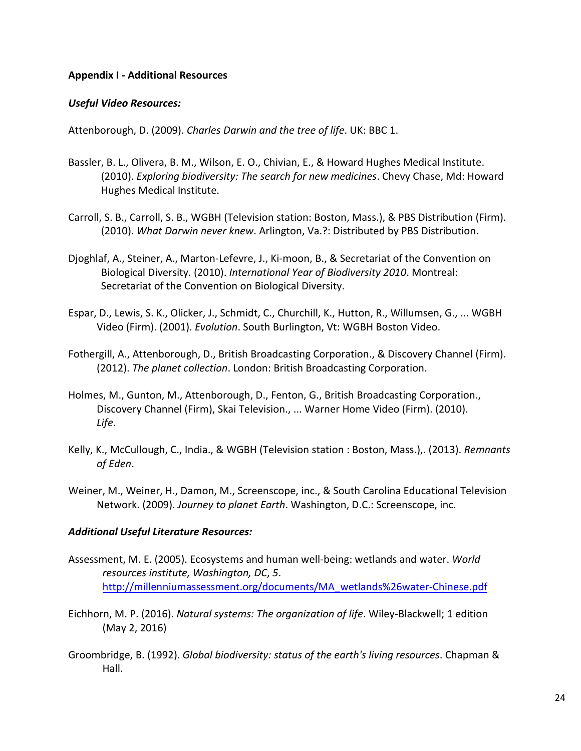#### <span id="page-23-0"></span>**Appendix I - Additional Resources**

#### <span id="page-23-1"></span>*Useful Video Resources:*

Attenborough, D. (2009). *Charles Darwin and the tree of life*. UK: BBC 1.

- Bassler, B. L., Olivera, B. M., Wilson, E. O., Chivian, E., & Howard Hughes Medical Institute. (2010). *Exploring biodiversity: The search for new medicines*. Chevy Chase, Md: Howard Hughes Medical Institute.
- Carroll, S. B., Carroll, S. B., WGBH (Television station: Boston, Mass.), & PBS Distribution (Firm). (2010). *What Darwin never knew*. Arlington, Va.?: Distributed by PBS Distribution.
- Djoghlaf, A., Steiner, A., Marton-Lefevre, J., Ki-moon, B., & Secretariat of the Convention on Biological Diversity. (2010). *International Year of Biodiversity 2010*. Montreal: Secretariat of the Convention on Biological Diversity.
- Espar, D., Lewis, S. K., Olicker, J., Schmidt, C., Churchill, K., Hutton, R., Willumsen, G., ... WGBH Video (Firm). (2001). *Evolution*. South Burlington, Vt: WGBH Boston Video.
- Fothergill, A., Attenborough, D., British Broadcasting Corporation., & Discovery Channel (Firm). (2012). *The planet collection*. London: British Broadcasting Corporation.
- Holmes, M., Gunton, M., Attenborough, D., Fenton, G., British Broadcasting Corporation., Discovery Channel (Firm), Skai Television., ... Warner Home Video (Firm). (2010). *Life*.
- Kelly, K., McCullough, C., India., & WGBH (Television station : Boston, Mass.),. (2013). *Remnants of Eden*.
- Weiner, M., Weiner, H., Damon, M., Screenscope, inc., & South Carolina Educational Television Network. (2009). *Journey to planet Earth*. Washington, D.C.: Screenscope, inc.

#### <span id="page-23-2"></span>*Additional Useful Literature Resources:*

- Assessment, M. E. (2005). Ecosystems and human well-being: wetlands and water. *World resources institute, Washington, DC*, *5*. [http://millenniumassessment.org/documents/MA\\_wetlands%26water-Chinese.pdf](http://millenniumassessment.org/documents/MA_wetlands%26water-Chinese.pdf)
- Eichhorn, M. P. (2016). *Natural systems: The organization of life*. Wiley-Blackwell; 1 edition (May 2, 2016)
- Groombridge, B. (1992). *Global biodiversity: status of the earth's living resources*. Chapman & Hall.